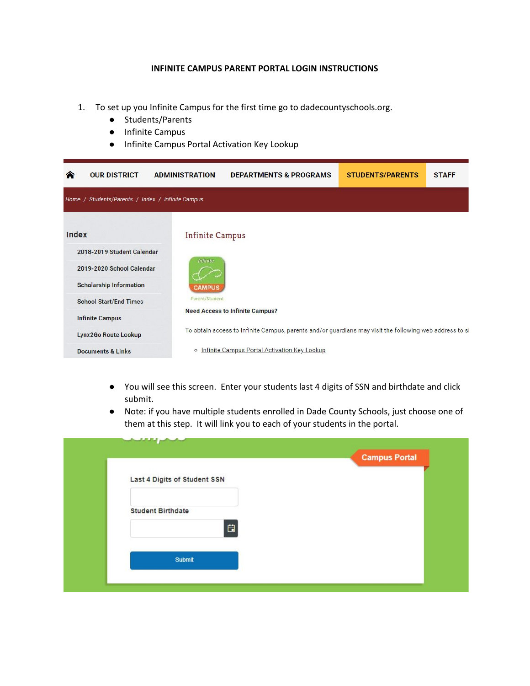## **INFINITE CAMPUS PARENT PORTAL LOGIN INSTRUCTIONS**

- 1. To set up you Infinite Campus for the first time go to dadecountyschools.org.
	- Students/Parents
	- Infinite Campus
	- Infinite Campus Portal Activation Key Lookup

| ☎                      | <b>OUR DISTRICT</b>                               | <b>ADMINISTRATION</b>  | <b>DEPARTMENTS &amp; PROGRAMS</b>                                                                       | <b>STUDENTS/PARENTS</b> | <b>STAFF</b> |  |  |
|------------------------|---------------------------------------------------|------------------------|---------------------------------------------------------------------------------------------------------|-------------------------|--------------|--|--|
|                        | Home / Students/Parents / Index / Infinite Campus |                        |                                                                                                         |                         |              |  |  |
| Index                  |                                                   | <b>Infinite Campus</b> |                                                                                                         |                         |              |  |  |
|                        | 2018-2019 Student Calendar                        |                        |                                                                                                         |                         |              |  |  |
|                        | 2019-2020 School Calendar                         | Infinite               |                                                                                                         |                         |              |  |  |
|                        | <b>Scholarship Information</b>                    | <b>CAMPUS</b>          |                                                                                                         |                         |              |  |  |
|                        | <b>School Start/End Times</b>                     | Parent/Student         |                                                                                                         |                         |              |  |  |
| <b>Infinite Campus</b> |                                                   |                        | <b>Need Access to Infinite Campus?</b>                                                                  |                         |              |  |  |
|                        | Lynx2Go Route Lookup                              |                        | To obtain access to Infinite Campus, parents and/or guardians may visit the following web address to si |                         |              |  |  |
|                        | <b>Documents &amp; Links</b>                      |                        | o Infinite Campus Portal Activation Key Lookup                                                          |                         |              |  |  |

- You will see this screen. Enter your students last 4 digits of SSN and birthdate and click submit.
- Note: if you have multiple students enrolled in Dade County Schools, just choose one of them at this step. It will link you to each of your students in the portal.

| المتلاط المستألم                           | <b>Campus Portal</b> |
|--------------------------------------------|----------------------|
| Last 4 Digits of Student SSN               |                      |
| <b>Student Birthdate</b><br>$\blacksquare$ |                      |
| <b>Submit</b>                              |                      |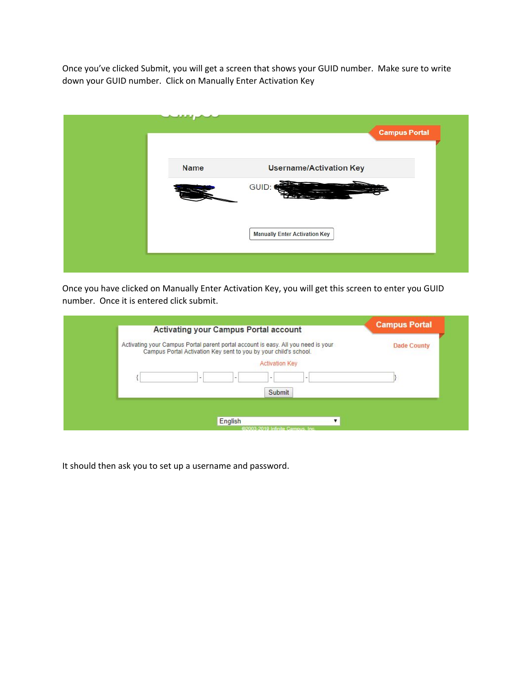Once you've clicked Submit, you will get a screen that shows your GUID number. Make sure to write down your GUID number. Click on Manually Enter Activation Key

|             | <b>Campus Portal</b>                 |
|-------------|--------------------------------------|
| <b>Name</b> | <b>Username/Activation Key</b>       |
|             | GUID:                                |
|             | <b>Manually Enter Activation Key</b> |
|             |                                      |

Once you have clicked on Manually Enter Activation Key, you will get this screen to enter you GUID number. Once it is entered click submit.

| <b>Activating your Campus Portal account</b>                                                                                                          |                            | <b>Campus Portal</b> |
|-------------------------------------------------------------------------------------------------------------------------------------------------------|----------------------------|----------------------|
| Activating your Campus Portal parent portal account is easy. All you need is your<br>Campus Portal Activation Key sent to you by your child's school. |                            | <b>Dade County</b>   |
| -                                                                                                                                                     | <b>Activation Key</b><br>- |                      |
|                                                                                                                                                       | Submit                     |                      |

It should then ask you to set up a username and password.